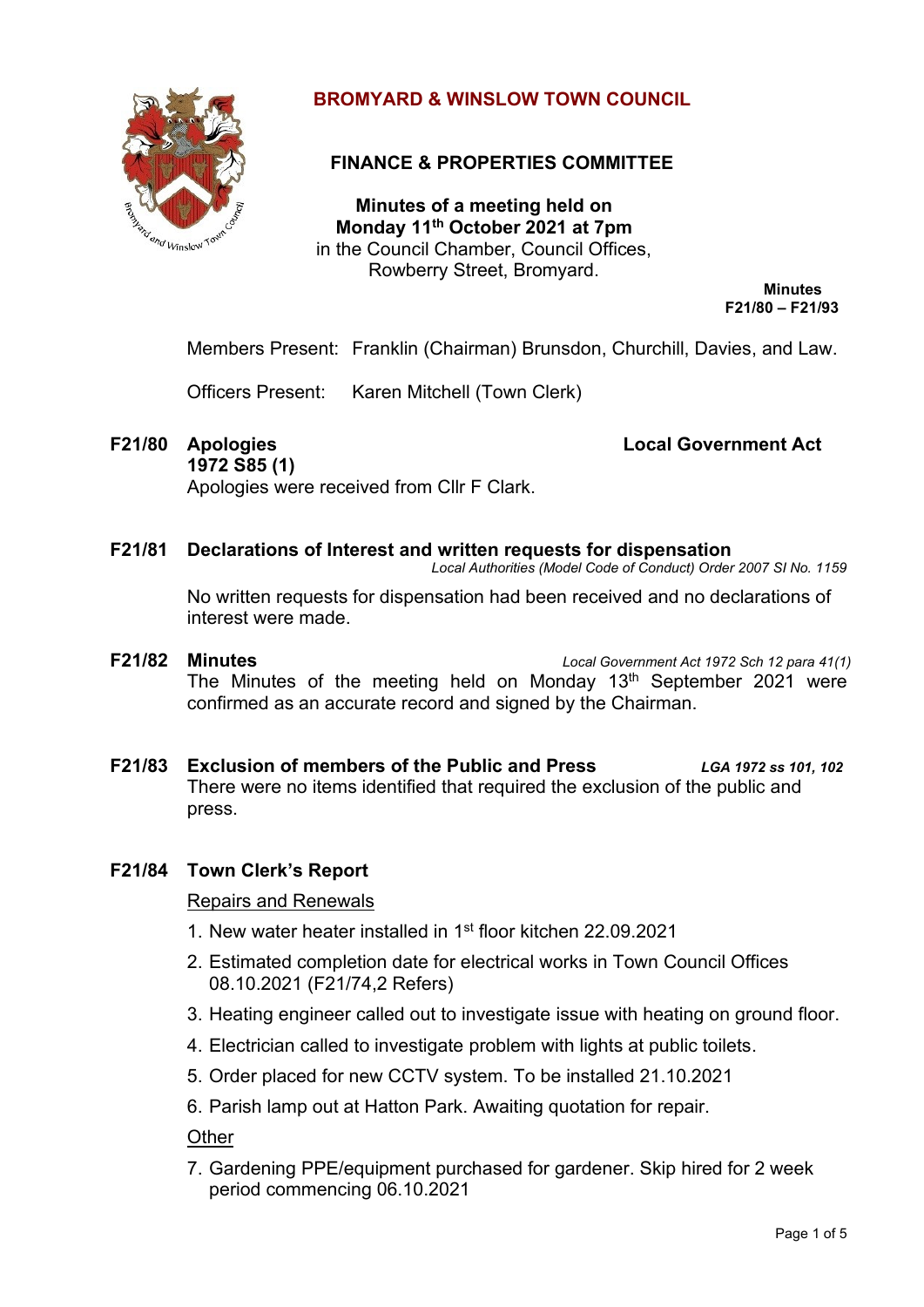

# **BROMYARD & WINSLOW TOWN COUNCIL**

# **FINANCE & PROPERTIES COMMITTEE**

**Minutes of a meeting held on Monday 11th October 2021 at 7pm** in the Council Chamber, Council Offices, Rowberry Street, Bromyard.

> **Minutes F21/80 – F21/93**

Members Present: Franklin (Chairman) Brunsdon, Churchill, Davies, and Law.

Officers Present: Karen Mitchell (Town Clerk)

**F21/80 Apologies Local Government Act** 

**1972 S85 (1)** Apologies were received from Cllr F Clark.

#### **F21/81 Declarations of Interest and written requests for dispensation**

*Local Authorities (Model Code of Conduct) Order 2007 SI No. 1159*

No written requests for dispensation had been received and no declarations of interest were made.

- **F21/82 Minutes** *Local Government Act 1972 Sch 12 para 41(1)* The Minutes of the meeting held on Monday  $13<sup>th</sup>$  September 2021 were confirmed as an accurate record and signed by the Chairman.
- **F21/83 Exclusion of members of the Public and Press** *LGA 1972 ss 101, 102* There were no items identified that required the exclusion of the public and press.

## **F21/84 Town Clerk's Report**

Repairs and Renewals

- 1. New water heater installed in 1st floor kitchen 22.09.2021
- 2. Estimated completion date for electrical works in Town Council Offices 08.10.2021 (F21/74,2 Refers)
- 3. Heating engineer called out to investigate issue with heating on ground floor.
- 4. Electrician called to investigate problem with lights at public toilets.
- 5. Order placed for new CCTV system. To be installed 21.10.2021
- 6. Parish lamp out at Hatton Park. Awaiting quotation for repair.

**Other** 

7. Gardening PPE/equipment purchased for gardener. Skip hired for 2 week period commencing 06.10.2021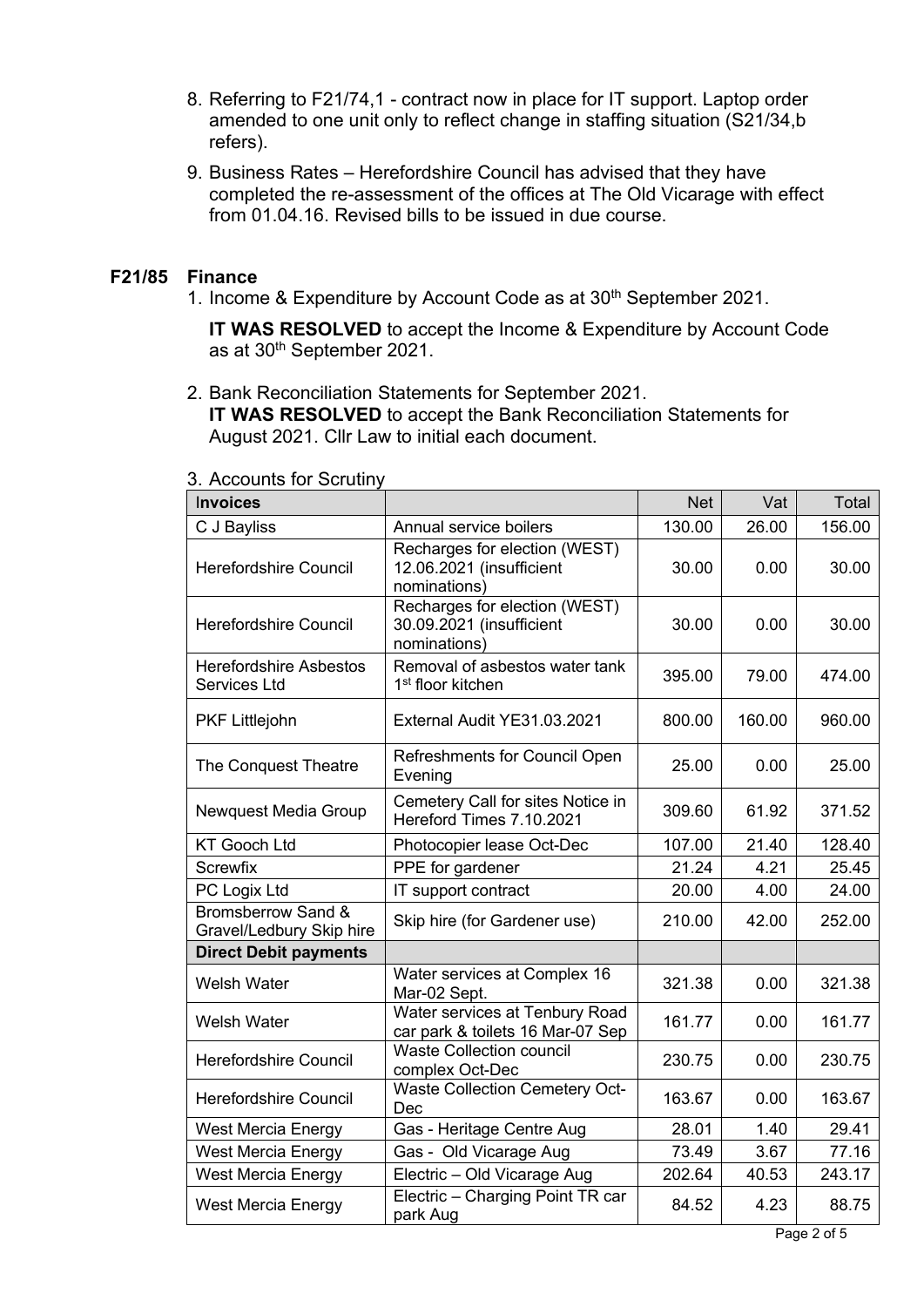- 8. Referring to F21/74,1 contract now in place for IT support. Laptop order amended to one unit only to reflect change in staffing situation (S21/34,b refers).
- 9. Business Rates Herefordshire Council has advised that they have completed the re-assessment of the offices at The Old Vicarage with effect from 01.04.16. Revised bills to be issued in due course.

#### **F21/85 Finance**

1. Income & Expenditure by Account Code as at 30<sup>th</sup> September 2021.

**IT WAS RESOLVED** to accept the Income & Expenditure by Account Code as at 30th September 2021.

2. Bank Reconciliation Statements for September 2021. **IT WAS RESOLVED** to accept the Bank Reconciliation Statements for August 2021. Cllr Law to initial each document.

| <b>Invoices</b>                                           |                                                                           | <b>Net</b> | Vat    | Total  |
|-----------------------------------------------------------|---------------------------------------------------------------------------|------------|--------|--------|
| C J Bayliss                                               | Annual service boilers                                                    | 130.00     | 26.00  | 156.00 |
| <b>Herefordshire Council</b>                              | Recharges for election (WEST)<br>12.06.2021 (insufficient<br>nominations) | 30.00      | 0.00   | 30.00  |
| <b>Herefordshire Council</b>                              | Recharges for election (WEST)<br>30.09.2021 (insufficient<br>nominations) | 30.00      | 0.00   | 30.00  |
| <b>Herefordshire Asbestos</b><br><b>Services Ltd</b>      | Removal of asbestos water tank<br>1 <sup>st</sup> floor kitchen           | 395.00     | 79.00  | 474.00 |
| <b>PKF Littlejohn</b>                                     | External Audit YE31.03.2021                                               | 800.00     | 160.00 | 960.00 |
| The Conquest Theatre                                      | <b>Refreshments for Council Open</b><br>Evening                           | 25.00      | 0.00   | 25.00  |
| Newquest Media Group                                      | Cemetery Call for sites Notice in<br>Hereford Times 7.10.2021             | 309.60     | 61.92  | 371.52 |
| <b>KT Gooch Ltd</b>                                       | Photocopier lease Oct-Dec                                                 | 107.00     | 21.40  | 128.40 |
| <b>Screwfix</b>                                           | PPE for gardener                                                          | 21.24      | 4.21   | 25.45  |
| PC Logix Ltd                                              | IT support contract                                                       | 20.00      | 4.00   | 24.00  |
| <b>Bromsberrow Sand &amp;</b><br>Gravel/Ledbury Skip hire | Skip hire (for Gardener use)                                              | 210.00     | 42.00  | 252.00 |
| <b>Direct Debit payments</b>                              |                                                                           |            |        |        |
| <b>Welsh Water</b>                                        | Water services at Complex 16<br>Mar-02 Sept.                              | 321.38     | 0.00   | 321.38 |
| <b>Welsh Water</b>                                        | Water services at Tenbury Road<br>car park & toilets 16 Mar-07 Sep        | 161.77     | 0.00   | 161.77 |
| Herefordshire Council                                     | <b>Waste Collection council</b><br>complex Oct-Dec                        | 230.75     | 0.00   | 230.75 |
| <b>Herefordshire Council</b>                              | <b>Waste Collection Cemetery Oct-</b><br>Dec                              | 163.67     | 0.00   | 163.67 |
| West Mercia Energy                                        | Gas - Heritage Centre Aug                                                 | 28.01      | 1.40   | 29.41  |
| West Mercia Energy                                        | Gas - Old Vicarage Aug                                                    | 73.49      | 3.67   | 77.16  |
| <b>West Mercia Energy</b>                                 | Electric - Old Vicarage Aug                                               | 202.64     | 40.53  | 243.17 |
| <b>West Mercia Energy</b>                                 | Electric - Charging Point TR car<br>park Aug                              | 84.52      | 4.23   | 88.75  |

#### 3. Accounts for Scrutiny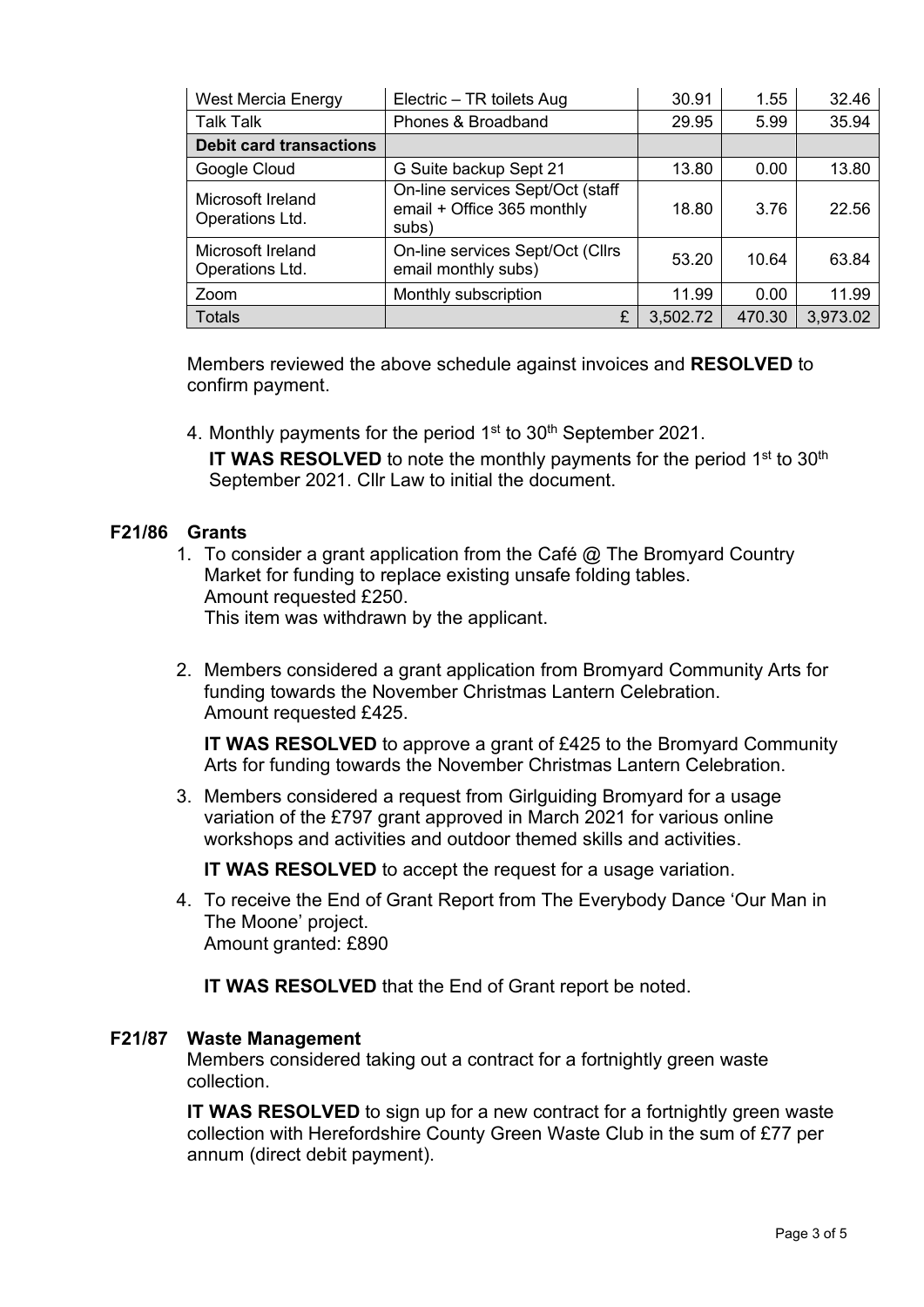| West Mercia Energy                   | Electric - TR toilets Aug                                               | 30.91    | 1.55   | 32.46    |
|--------------------------------------|-------------------------------------------------------------------------|----------|--------|----------|
| <b>Talk Talk</b>                     | Phones & Broadband                                                      | 29.95    | 5.99   | 35.94    |
| <b>Debit card transactions</b>       |                                                                         |          |        |          |
| Google Cloud                         | G Suite backup Sept 21                                                  | 13.80    | 0.00   | 13.80    |
| Microsoft Ireland<br>Operations Ltd. | On-line services Sept/Oct (staff<br>email + Office 365 monthly<br>subs) | 18.80    | 3.76   | 22.56    |
| Microsoft Ireland<br>Operations Ltd. | On-line services Sept/Oct (Cllrs<br>email monthly subs)                 | 53.20    | 10.64  | 63.84    |
| Zoom                                 | Monthly subscription                                                    | 11.99    | 0.00   | 11.99    |
| <b>Totals</b>                        | £                                                                       | 3,502.72 | 470.30 | 3,973.02 |

Members reviewed the above schedule against invoices and **RESOLVED** to confirm payment.

4. Monthly payments for the period  $1<sup>st</sup>$  to  $30<sup>th</sup>$  September 2021.

IT WAS RESOLVED to note the monthly payments for the period 1<sup>st</sup> to 30<sup>th</sup> September 2021. Cllr Law to initial the document.

# **F21/86 Grants**

- 1. To consider a grant application from the Café @ The Bromyard Country Market for funding to replace existing unsafe folding tables. Amount requested £250. This item was withdrawn by the applicant.
- 2. Members considered a grant application from Bromyard Community Arts for funding towards the November Christmas Lantern Celebration. Amount requested £425.

**IT WAS RESOLVED** to approve a grant of £425 to the Bromyard Community Arts for funding towards the November Christmas Lantern Celebration.

3. Members considered a request from Girlguiding Bromyard for a usage variation of the £797 grant approved in March 2021 for various online workshops and activities and outdoor themed skills and activities.

**IT WAS RESOLVED** to accept the request for a usage variation.

4. To receive the End of Grant Report from The Everybody Dance 'Our Man in The Moone' project. Amount granted: £890

**IT WAS RESOLVED** that the End of Grant report be noted.

## **F21/87 Waste Management**

Members considered taking out a contract for a fortnightly green waste collection.

**IT WAS RESOLVED** to sign up for a new contract for a fortnightly green waste collection with Herefordshire County Green Waste Club in the sum of £77 per annum (direct debit payment).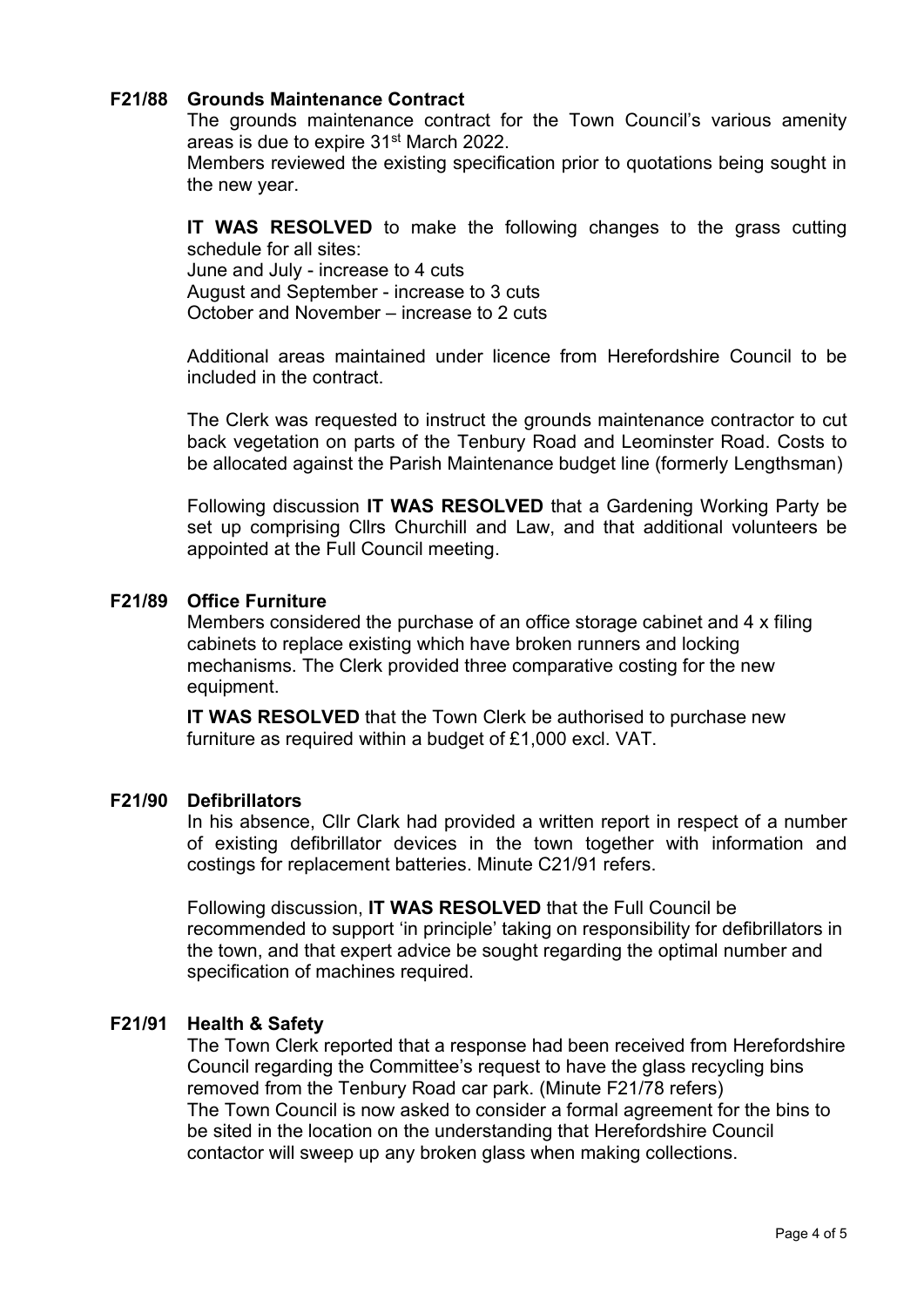#### **F21/88 Grounds Maintenance Contract**

The grounds maintenance contract for the Town Council's various amenity areas is due to expire 31st March 2022.

Members reviewed the existing specification prior to quotations being sought in the new year.

**IT WAS RESOLVED** to make the following changes to the grass cutting schedule for all sites:

June and July - increase to 4 cuts August and September - increase to 3 cuts October and November – increase to 2 cuts

Additional areas maintained under licence from Herefordshire Council to be included in the contract.

The Clerk was requested to instruct the grounds maintenance contractor to cut back vegetation on parts of the Tenbury Road and Leominster Road. Costs to be allocated against the Parish Maintenance budget line (formerly Lengthsman)

Following discussion **IT WAS RESOLVED** that a Gardening Working Party be set up comprising Cllrs Churchill and Law, and that additional volunteers be appointed at the Full Council meeting.

#### **F21/89 Office Furniture**

Members considered the purchase of an office storage cabinet and 4 x filing cabinets to replace existing which have broken runners and locking mechanisms. The Clerk provided three comparative costing for the new equipment.

**IT WAS RESOLVED** that the Town Clerk be authorised to purchase new furniture as required within a budget of £1,000 excl. VAT.

#### **F21/90 Defibrillators**

In his absence, Cllr Clark had provided a written report in respect of a number of existing defibrillator devices in the town together with information and costings for replacement batteries. Minute C21/91 refers.

Following discussion, **IT WAS RESOLVED** that the Full Council be recommended to support 'in principle' taking on responsibility for defibrillators in the town, and that expert advice be sought regarding the optimal number and specification of machines required.

## **F21/91 Health & Safety**

The Town Clerk reported that a response had been received from Herefordshire Council regarding the Committee's request to have the glass recycling bins removed from the Tenbury Road car park. (Minute F21/78 refers) The Town Council is now asked to consider a formal agreement for the bins to be sited in the location on the understanding that Herefordshire Council contactor will sweep up any broken glass when making collections.